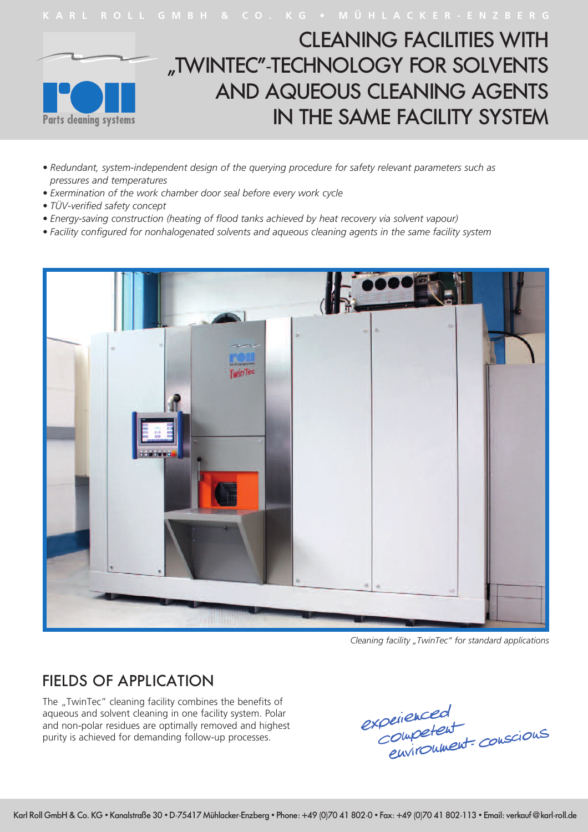

- *• Redundant, system-independent design of the querying procedure for safety relevant parameters such as pressures and temperatures*
- *• Exermination of the work chamber door seal before every work cycle*
- *• TÜV-verified safety concept*
- *• Energy-saving construction (heating of flood tanks achieved by heat recovery via solvent vapour)*
- *• Facility configured for nonhalogenated solvents and aqueous cleaning agents in the same facility system*



*Cleaning facility "TwinTec" for standard applications*

## FIELDS OF APPLICATION

The "TwinTec" cleaning facility combines the benefits of aqueous and solvent cleaning in one facility system. Polar and non-polar residues are optimally removed and highest purity is achieved for demanding follow-up processes.

experienced<br>Competent<br>environment conscious